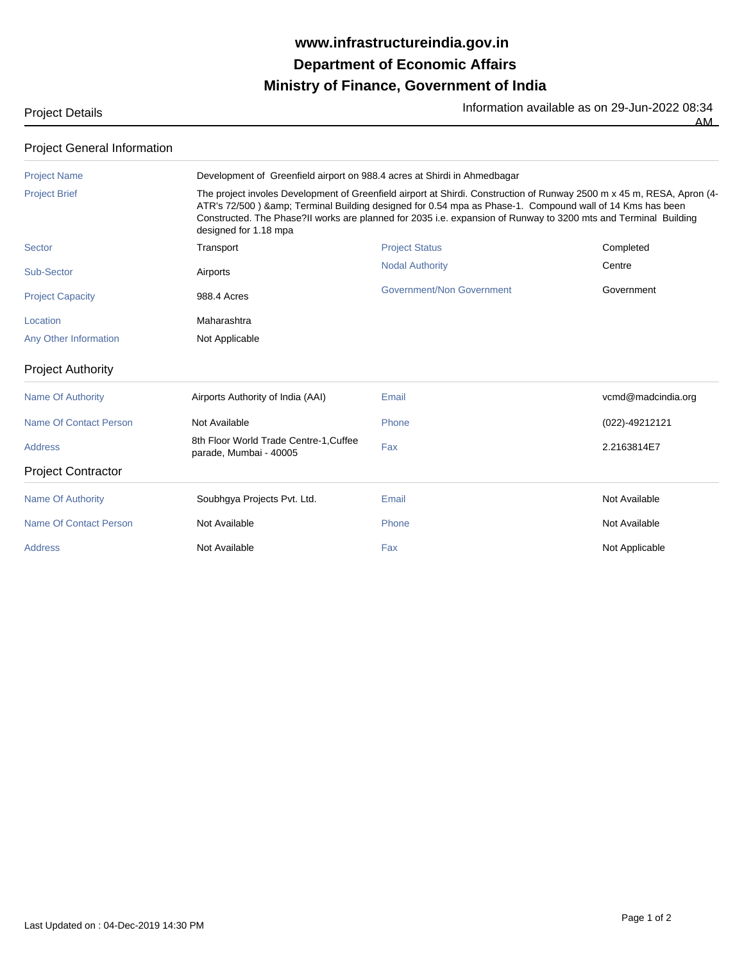## **Ministry of Finance, Government of India Department of Economic Affairs www.infrastructureindia.gov.in**

Project Details **Information available as on 29-Jun-2022 08:34**  $\overline{AM}$ 

| <b>Project General Information</b> |                                                                                                                                                                                                                                                                                                                                                                                                                                                        |                           |                    |  |  |  |
|------------------------------------|--------------------------------------------------------------------------------------------------------------------------------------------------------------------------------------------------------------------------------------------------------------------------------------------------------------------------------------------------------------------------------------------------------------------------------------------------------|---------------------------|--------------------|--|--|--|
| <b>Project Name</b>                | Development of Greenfield airport on 988.4 acres at Shirdi in Ahmedbagar<br>The project involes Development of Greenfield airport at Shirdi. Construction of Runway 2500 m x 45 m, RESA, Apron (4-<br>ATR's 72/500) & Terminal Building designed for 0.54 mpa as Phase-1. Compound wall of 14 Kms has been<br>Constructed. The Phase?II works are planned for 2035 i.e. expansion of Runway to 3200 mts and Terminal Building<br>designed for 1.18 mpa |                           |                    |  |  |  |
| <b>Project Brief</b>               |                                                                                                                                                                                                                                                                                                                                                                                                                                                        |                           |                    |  |  |  |
| <b>Sector</b>                      | Transport                                                                                                                                                                                                                                                                                                                                                                                                                                              | <b>Project Status</b>     | Completed          |  |  |  |
| Sub-Sector                         | Airports                                                                                                                                                                                                                                                                                                                                                                                                                                               | <b>Nodal Authority</b>    | Centre             |  |  |  |
| <b>Project Capacity</b>            | 988.4 Acres                                                                                                                                                                                                                                                                                                                                                                                                                                            | Government/Non Government | Government         |  |  |  |
| Location                           | Maharashtra                                                                                                                                                                                                                                                                                                                                                                                                                                            |                           |                    |  |  |  |
| Any Other Information              | Not Applicable                                                                                                                                                                                                                                                                                                                                                                                                                                         |                           |                    |  |  |  |
| <b>Project Authority</b>           |                                                                                                                                                                                                                                                                                                                                                                                                                                                        |                           |                    |  |  |  |
| <b>Name Of Authority</b>           | Airports Authority of India (AAI)                                                                                                                                                                                                                                                                                                                                                                                                                      | Email                     | vcmd@madcindia.org |  |  |  |
| Name Of Contact Person             | Not Available                                                                                                                                                                                                                                                                                                                                                                                                                                          | Phone                     | (022)-49212121     |  |  |  |
| <b>Address</b>                     | 8th Floor World Trade Centre-1, Cuffee<br>parade, Mumbai - 40005                                                                                                                                                                                                                                                                                                                                                                                       | Fax                       | 2.2163814E7        |  |  |  |
| <b>Project Contractor</b>          |                                                                                                                                                                                                                                                                                                                                                                                                                                                        |                           |                    |  |  |  |
| Name Of Authority                  | Soubhqya Projects Pvt. Ltd.                                                                                                                                                                                                                                                                                                                                                                                                                            | Email                     | Not Available      |  |  |  |
| Name Of Contact Person             | Not Available                                                                                                                                                                                                                                                                                                                                                                                                                                          | Phone                     | Not Available      |  |  |  |
| <b>Address</b>                     | Not Available                                                                                                                                                                                                                                                                                                                                                                                                                                          | Fax                       | Not Applicable     |  |  |  |
|                                    |                                                                                                                                                                                                                                                                                                                                                                                                                                                        |                           |                    |  |  |  |